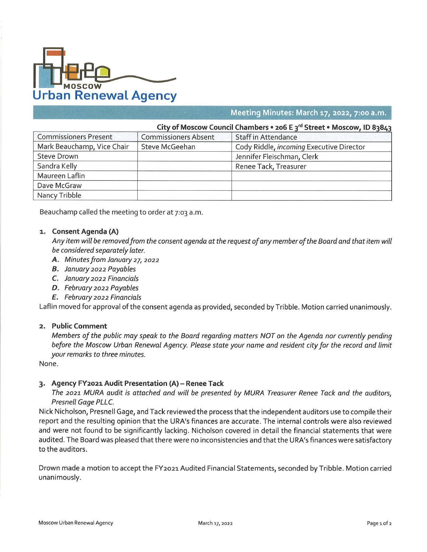

# **Meeting Minutes: March 17, 2022, 7:00 a.m.**

| City of Moscow Council Chambers • 206 E 3 <sup>rd</sup> Street • Moscow, ID 83843 |                             |                                          |
|-----------------------------------------------------------------------------------|-----------------------------|------------------------------------------|
| <b>Commissioners Present</b>                                                      | <b>Commissioners Absent</b> | <b>Staff in Attendance</b>               |
| Mark Beauchamp, Vice Chair                                                        | <b>Steve McGeehan</b>       | Cody Riddle, incoming Executive Director |
| <b>Steve Drown</b>                                                                |                             | Jennifer Fleischman, Clerk               |
| Sandra Kelly                                                                      |                             | Renee Tack, Treasurer                    |
| Maureen Laflin                                                                    |                             |                                          |
| Dave McGraw                                                                       |                             |                                          |
| Nancy Tribble                                                                     |                             |                                          |

Beauchamp called the meeting to order at 7:03 a.m.

## **1. Consent Agenda (A)**

Any item will be removed from the consent agenda at the request of any member of the Board and that item will *be considered separately later.*

- *A. Minutes from January* 27, *2022*
- *B. January 2022 Payables*
- *C. January 2022 Financials*
- *D. February 2022 Payables*
- *E. February 2022 Financials*

Laflin moved for approval of the consent agenda as provided, seconded by Tribble. Motion carried unanimously.

#### **2. Public Comment**

Members of the public may speak to the Board regarding matters NOT on the Agenda nor currently pending before the Moscow Urban Renewal Agency. Please state your name and resident city for the record and limit *your remarks to three minutes.*

None.

## **3. Agency FY2021 Audit Presentation (A) - Renee Tack**

The 2021 MURA audit is attached and will be presented by MURA Treasurer Renee Tack and the auditors. *Presnell Gage PLLC.*

Nick Nicholson, Presnell Gage, and Tack reviewed the process that the independent auditors use to compile their report and the resulting opinion that the URA's finances are accurate. The internal controls were also reviewed and were not found to be significantly lacking. Nicholson covered in detail the financial statements that were audited. The Board was pleased that there were no inconsistencies and that the URA's finances were satisfactory to the auditors.

Drown made a motion to accept the FY2021 Audited Financial Statements, seconded by Tribble. Motion carried unanimously.